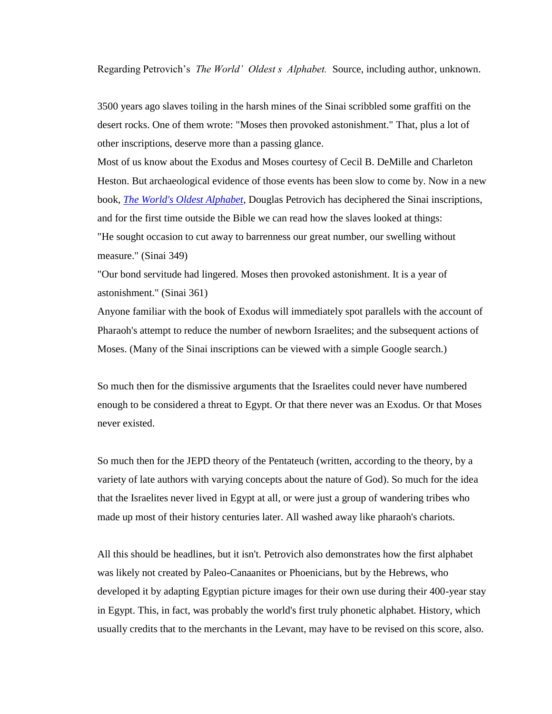Regarding Petrovich's *The World' Oldest s Alphabet.* Source, including author, unknown.

3500 years ago slaves toiling in the harsh mines of the Sinai scribbled some graffiti on the desert rocks. One of them wrote: "Moses then provoked astonishment." That, plus a lot of other inscriptions, deserve more than a passing glance.

Most of us know about the Exodus and Moses courtesy of Cecil B. DeMille and Charleton Heston. But archaeological evidence of those events has been slow to come by. Now in a new book, *[The World's Oldest Alphabet](https://eur02.safelinks.protection.outlook.com/?url=https%3A%2F%2Fwww.amazon.com%2FWorlds-Oldest-Alphabet-Language-Proto-consonantal%2Fdp%2F9652208841%2Fref%3Dsr_1_1%3Fie%3DUTF8%26qid%3D1511728740%26sr%3D8-1%26keywords%3Dworld%2527s%2Boldest%2Balphabet%252C%2Bthe&data=02%7C01%7Cboerjf%40hotmail.com%7Cbd084053d4934a88873e08d5360d583b%7C84df9e7fe9f640afb435aaaaaaaaaaaa%7C1%7C0%7C636474353315204858&sdata=pHQh3nc%2FCU0ML2fTKBfU0o2K6SltE%2Bvj6mBtswpsfsQ%3D&reserved=0)*, Douglas Petrovich has deciphered the Sinai inscriptions, and for the first time outside the Bible we can read how the slaves looked at things: "He sought occasion to cut away to barrenness our great number, our swelling without measure." (Sinai 349)

"Our bond servitude had lingered. Moses then provoked astonishment. It is a year of astonishment." (Sinai 361)

Anyone familiar with the book of Exodus will immediately spot parallels with the account of Pharaoh's attempt to reduce the number of newborn Israelites; and the subsequent actions of Moses. (Many of the Sinai inscriptions can be viewed with a simple Google search.)

So much then for the dismissive arguments that the Israelites could never have numbered enough to be considered a threat to Egypt. Or that there never was an Exodus. Or that Moses never existed.

So much then for the JEPD theory of the Pentateuch (written, according to the theory, by a variety of late authors with varying concepts about the nature of God). So much for the idea that the Israelites never lived in Egypt at all, or were just a group of wandering tribes who made up most of their history centuries later. All washed away like pharaoh's chariots.

All this should be headlines, but it isn't. Petrovich also demonstrates how the first alphabet was likely not created by Paleo-Canaanites or Phoenicians, but by the Hebrews, who developed it by adapting Egyptian picture images for their own use during their 400-year stay in Egypt. This, in fact, was probably the world's first truly phonetic alphabet. History, which usually credits that to the merchants in the Levant, may have to be revised on this score, also.